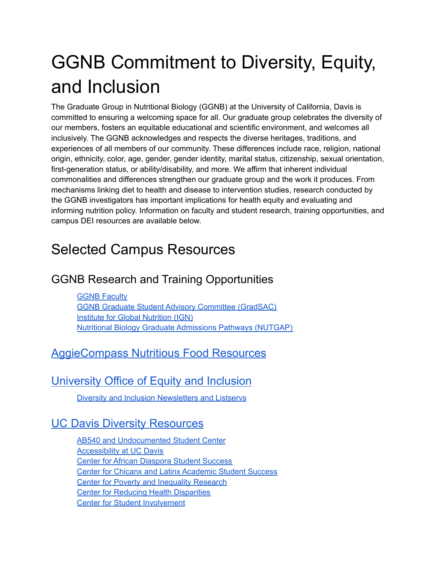# GGNB Commitment to Diversity, Equity, and Inclusion

The Graduate Group in Nutritional Biology (GGNB) at the University of California, Davis is committed to ensuring a welcoming space for all. Our graduate group celebrates the diversity of our members, fosters an equitable educational and scientific environment, and welcomes all inclusively. The GGNB acknowledges and respects the diverse heritages, traditions, and experiences of all members of our community. These differences include race, religion, national origin, ethnicity, color, age, gender, gender identity, marital status, citizenship, sexual orientation, first-generation status, or ability/disability, and more. We affirm that inherent individual commonalities and differences strengthen our graduate group and the work it produces. From mechanisms linking diet to health and disease to intervention studies, research conducted by the GGNB investigators has important implications for health equity and evaluating and informing nutrition policy. Information on faculty and student research, training opportunities, and campus DEI resources are available below.

## Selected Campus Resources

### GGNB Research and Training Opportunities

GGNB [Faculty](https://ggnb.ucdavis.edu/people/faculty) GGNB Graduate Student Advisory Committee [\(GradSAC\)](https://ggnb.ucdavis.edu/resources/gradsac) **Institute for Global [Nutrition](https://globalnutrition.ucdavis.edu/about) (IGN)** Nutritional Biology Graduate [Admissions](https://nutgap.ucdavis.edu) Pathways (NUTGAP)

#### [AggieCompass](https://aggiecompass.ucdavis.edu/food-security) Nutritious Food Resources

#### [University](https://diversity.ucdavis.edu/) Office of Equity and Inclusion

Diversity and Inclusion [Newsletters](https://diversity.ucdavis.edu/diversity-equity-and-inclusion-listservs-and-newsletters) and Listservs

#### UC Davis Diversity [Resources](https://diversity.ucdavis.edu/diversity-resources)

AB540 and [Undocumented](https://undocumented.ucdavis.edu/) Student Center [Accessibility](https://accessibility.ucdavis.edu/) at UC Davis Center for African [Diaspora](https://cadss.ucdavis.edu/) Student Success Center for Chicanx and Latinx [Academic](https://cclass.ucdavis.edu/) Student Success Center for Poverty and [Inequality](https://poverty.ucdavis.edu/) Research Center for Reducing Health [Disparities](https://health.ucdavis.edu/crhd/) Center for Student [Involvement](https://csi.ucdavis.edu/)